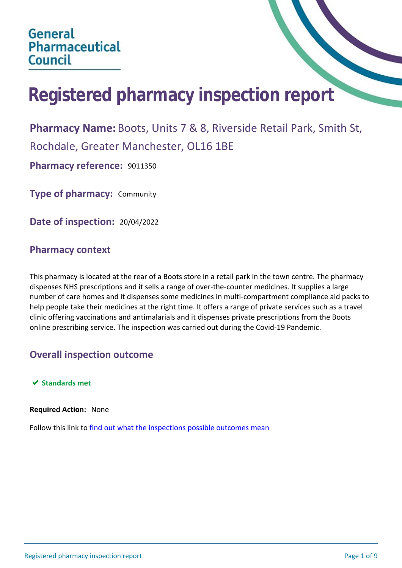# **Registered pharmacy inspection report**

**Pharmacy Name:** Boots, Units 7 & 8, Riverside Retail Park, Smith St, Rochdale, Greater Manchester, OL16 1BE

**Pharmacy reference:** 9011350

**Type of pharmacy:** Community

**Date of inspection:** 20/04/2022

## **Pharmacy context**

This pharmacy is located at the rear of a Boots store in a retail park in the town centre. The pharmacy dispenses NHS prescriptions and it sells a range of over-the-counter medicines. It supplies a large number of care homes and it dispenses some medicines in multi-compartment compliance aid packs to help people take their medicines at the right time. It offers a range of private services such as a travel clinic offering vaccinations and antimalarials and it dispenses private prescriptions from the Boots online prescribing service. The inspection was carried out during the Covid-19 Pandemic.

## **Overall inspection outcome**

## $★$  **Standards met**

#### **Required Action:** None

Follow this link to [find out what the inspections possible outcomes mean](#page-8-0)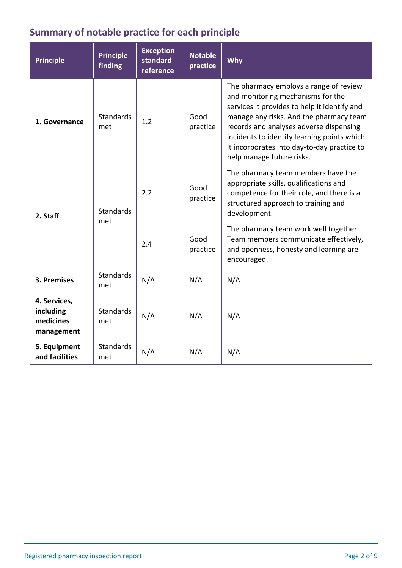## **Summary of notable practice for each principle**

| <b>Principle</b>                                     | <b>Principle</b><br>finding | <b>Exception</b><br>standard<br>reference | <b>Notable</b><br>practice | Why                                                                                                                                                                                                                                                                                                                                          |
|------------------------------------------------------|-----------------------------|-------------------------------------------|----------------------------|----------------------------------------------------------------------------------------------------------------------------------------------------------------------------------------------------------------------------------------------------------------------------------------------------------------------------------------------|
| 1. Governance                                        | <b>Standards</b><br>met     | 1.2                                       | Good<br>practice           | The pharmacy employs a range of review<br>and monitoring mechanisms for the<br>services it provides to help it identify and<br>manage any risks. And the pharmacy team<br>records and analyses adverse dispensing<br>incidents to identify learning points which<br>it incorporates into day-to-day practice to<br>help manage future risks. |
| 2. Staff                                             | <b>Standards</b><br>met     | 2.2                                       | Good<br>practice           | The pharmacy team members have the<br>appropriate skills, qualifications and<br>competence for their role, and there is a<br>structured approach to training and<br>development.                                                                                                                                                             |
|                                                      |                             | 2.4                                       | Good<br>practice           | The pharmacy team work well together.<br>Team members communicate effectively,<br>and openness, honesty and learning are<br>encouraged.                                                                                                                                                                                                      |
| 3. Premises                                          | <b>Standards</b><br>met     | N/A                                       | N/A                        | N/A                                                                                                                                                                                                                                                                                                                                          |
| 4. Services,<br>including<br>medicines<br>management | <b>Standards</b><br>met     | N/A                                       | N/A                        | N/A                                                                                                                                                                                                                                                                                                                                          |
| 5. Equipment<br>and facilities                       | <b>Standards</b><br>met     | N/A                                       | N/A                        | N/A                                                                                                                                                                                                                                                                                                                                          |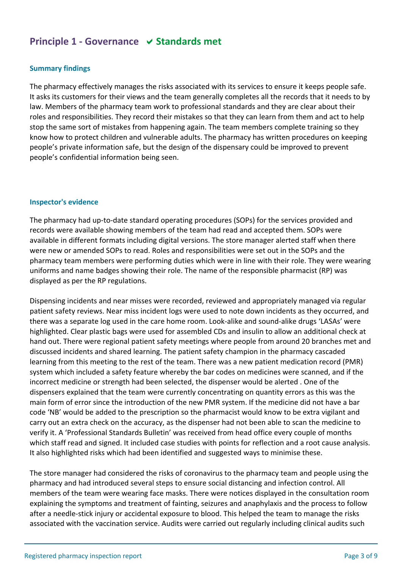## **Principle 1 - Governance**  $\vee$  **Standards met**

## **Summary findings**

The pharmacy effectively manages the risks associated with its services to ensure it keeps people safe. It asks its customers for their views and the team generally completes all the records that it needs to by law. Members of the pharmacy team work to professional standards and they are clear about their roles and responsibilities. They record their mistakes so that they can learn from them and act to help stop the same sort of mistakes from happening again. The team members complete training so they know how to protect children and vulnerable adults. The pharmacy has written procedures on keeping people's private information safe, but the design of the dispensary could be improved to prevent people's confidential information being seen.

#### **Inspector's evidence**

The pharmacy had up-to-date standard operating procedures (SOPs) for the services provided and records were available showing members of the team had read and accepted them. SOPs were available in different formats including digital versions. The store manager alerted staff when there were new or amended SOPs to read. Roles and responsibilities were set out in the SOPs and the pharmacy team members were performing duties which were in line with their role. They were wearing uniforms and name badges showing their role. The name of the responsible pharmacist (RP) was displayed as per the RP regulations.

Dispensing incidents and near misses were recorded, reviewed and appropriately managed via regular patient safety reviews. Near miss incident logs were used to note down incidents as they occurred, and there was a separate log used in the care home room. Look-alike and sound-alike drugs 'LASAs' were highlighted. Clear plastic bags were used for assembled CDs and insulin to allow an additional check at hand out. There were regional patient safety meetings where people from around 20 branches met and discussed incidents and shared learning. The patient safety champion in the pharmacy cascaded learning from this meeting to the rest of the team. There was a new patient medication record (PMR) system which included a safety feature whereby the bar codes on medicines were scanned, and if the incorrect medicine or strength had been selected, the dispenser would be alerted . One of the dispensers explained that the team were currently concentrating on quantity errors as this was the main form of error since the introduction of the new PMR system. If the medicine did not have a bar code 'NB' would be added to the prescription so the pharmacist would know to be extra vigilant and carry out an extra check on the accuracy, as the dispenser had not been able to scan the medicine to verify it. A 'Professional Standards Bulletin' was received from head office every couple of months which staff read and signed. It included case studies with points for reflection and a root cause analysis. It also highlighted risks which had been identified and suggested ways to minimise these.

The store manager had considered the risks of coronavirus to the pharmacy team and people using the pharmacy and had introduced several steps to ensure social distancing and infection control. All members of the team were wearing face masks. There were notices displayed in the consultation room explaining the symptoms and treatment of fainting, seizures and anaphylaxis and the process to follow after a needle-stick injury or accidental exposure to blood. This helped the team to manage the risks associated with the vaccination service. Audits were carried out regularly including clinical audits such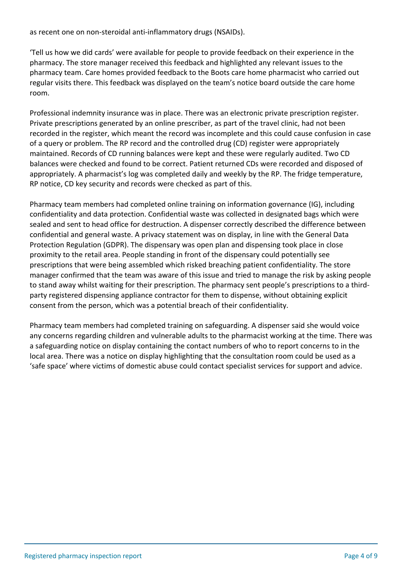as recent one on non-steroidal anti-inflammatory drugs (NSAIDs).

'Tell us how we did cards' were available for people to provide feedback on their experience in the pharmacy. The store manager received this feedback and highlighted any relevant issues to the pharmacy team. Care homes provided feedback to the Boots care home pharmacist who carried out regular visits there. This feedback was displayed on the team's notice board outside the care home room.

Professional indemnity insurance was in place. There was an electronic private prescription register. Private prescriptions generated by an online prescriber, as part of the travel clinic, had not been recorded in the register, which meant the record was incomplete and this could cause confusion in case of a query or problem. The RP record and the controlled drug (CD) register were appropriately maintained. Records of CD running balances were kept and these were regularly audited. Two CD balances were checked and found to be correct. Patient returned CDs were recorded and disposed of appropriately. A pharmacist's log was completed daily and weekly by the RP. The fridge temperature, RP notice, CD key security and records were checked as part of this.

Pharmacy team members had completed online training on information governance (IG), including confidentiality and data protection. Confidential waste was collected in designated bags which were sealed and sent to head office for destruction. A dispenser correctly described the difference between confidential and general waste. A privacy statement was on display, in line with the General Data Protection Regulation (GDPR). The dispensary was open plan and dispensing took place in close proximity to the retail area. People standing in front of the dispensary could potentially see prescriptions that were being assembled which risked breaching patient confidentiality. The store manager confirmed that the team was aware of this issue and tried to manage the risk by asking people to stand away whilst waiting for their prescription. The pharmacy sent people's prescriptions to a thirdparty registered dispensing appliance contractor for them to dispense, without obtaining explicit consent from the person, which was a potential breach of their confidentiality.

Pharmacy team members had completed training on safeguarding. A dispenser said she would voice any concerns regarding children and vulnerable adults to the pharmacist working at the time. There was a safeguarding notice on display containing the contact numbers of who to report concerns to in the local area. There was a notice on display highlighting that the consultation room could be used as a 'safe space' where victims of domestic abuse could contact specialist services for support and advice.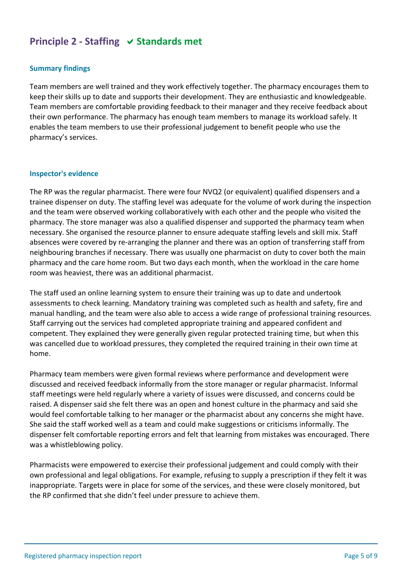## **Principle 2 - Staffing**  $\vee$  **Standards met**

#### **Summary findings**

Team members are well trained and they work effectively together. The pharmacy encourages them to keep their skills up to date and supports their development. They are enthusiastic and knowledgeable. Team members are comfortable providing feedback to their manager and they receive feedback about their own performance. The pharmacy has enough team members to manage its workload safely. It enables the team members to use their professional judgement to benefit people who use the pharmacy's services.

#### **Inspector's evidence**

The RP was the regular pharmacist. There were four NVQ2 (or equivalent) qualified dispensers and a trainee dispenser on duty. The staffing level was adequate for the volume of work during the inspection and the team were observed working collaboratively with each other and the people who visited the pharmacy. The store manager was also a qualified dispenser and supported the pharmacy team when necessary. She organised the resource planner to ensure adequate staffing levels and skill mix. Staff absences were covered by re-arranging the planner and there was an option of transferring staff from neighbouring branches if necessary. There was usually one pharmacist on duty to cover both the main pharmacy and the care home room. But two days each month, when the workload in the care home room was heaviest, there was an additional pharmacist.

The staff used an online learning system to ensure their training was up to date and undertook assessments to check learning. Mandatory training was completed such as health and safety, fire and manual handling, and the team were also able to access a wide range of professional training resources. Staff carrying out the services had completed appropriate training and appeared confident and competent. They explained they were generally given regular protected training time, but when this was cancelled due to workload pressures, they completed the required training in their own time at home.

Pharmacy team members were given formal reviews where performance and development were discussed and received feedback informally from the store manager or regular pharmacist. Informal staff meetings were held regularly where a variety of issues were discussed, and concerns could be raised. A dispenser said she felt there was an open and honest culture in the pharmacy and said she would feel comfortable talking to her manager or the pharmacist about any concerns she might have. She said the staff worked well as a team and could make suggestions or criticisms informally. The dispenser felt comfortable reporting errors and felt that learning from mistakes was encouraged. There was a whistleblowing policy.

Pharmacists were empowered to exercise their professional judgement and could comply with their own professional and legal obligations. For example, refusing to supply a prescription if they felt it was inappropriate. Targets were in place for some of the services, and these were closely monitored, but the RP confirmed that she didn't feel under pressure to achieve them.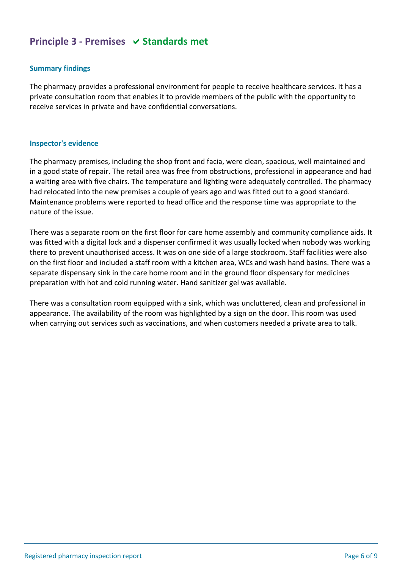## **Principle 3 - Premises**  $\vee$  **Standards met**

## **Summary findings**

The pharmacy provides a professional environment for people to receive healthcare services. It has a private consultation room that enables it to provide members of the public with the opportunity to receive services in private and have confidential conversations.

#### **Inspector's evidence**

The pharmacy premises, including the shop front and facia, were clean, spacious, well maintained and in a good state of repair. The retail area was free from obstructions, professional in appearance and had a waiting area with five chairs. The temperature and lighting were adequately controlled. The pharmacy had relocated into the new premises a couple of years ago and was fitted out to a good standard. Maintenance problems were reported to head office and the response time was appropriate to the nature of the issue.

There was a separate room on the first floor for care home assembly and community compliance aids. It was fitted with a digital lock and a dispenser confirmed it was usually locked when nobody was working there to prevent unauthorised access. It was on one side of a large stockroom. Staff facilities were also on the first floor and included a staff room with a kitchen area, WCs and wash hand basins. There was a separate dispensary sink in the care home room and in the ground floor dispensary for medicines preparation with hot and cold running water. Hand sanitizer gel was available.

There was a consultation room equipped with a sink, which was uncluttered, clean and professional in appearance. The availability of the room was highlighted by a sign on the door. This room was used when carrying out services such as vaccinations, and when customers needed a private area to talk.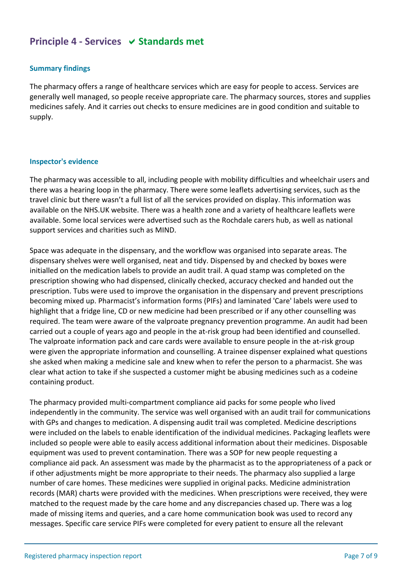## **Principle 4 - Services**  $\vee$  **Standards met**

## **Summary findings**

The pharmacy offers a range of healthcare services which are easy for people to access. Services are generally well managed, so people receive appropriate care. The pharmacy sources, stores and supplies medicines safely. And it carries out checks to ensure medicines are in good condition and suitable to supply.

#### **Inspector's evidence**

The pharmacy was accessible to all, including people with mobility difficulties and wheelchair users and there was a hearing loop in the pharmacy. There were some leaflets advertising services, such as the travel clinic but there wasn't a full list of all the services provided on display. This information was available on the NHS.UK website. There was a health zone and a variety of healthcare leaflets were available. Some local services were advertised such as the Rochdale carers hub, as well as national support services and charities such as MIND.

Space was adequate in the dispensary, and the workflow was organised into separate areas. The dispensary shelves were well organised, neat and tidy. Dispensed by and checked by boxes were initialled on the medication labels to provide an audit trail. A quad stamp was completed on the prescription showing who had dispensed, clinically checked, accuracy checked and handed out the prescription. Tubs were used to improve the organisation in the dispensary and prevent prescriptions becoming mixed up. Pharmacist's information forms (PIFs) and laminated 'Care' labels were used to highlight that a fridge line, CD or new medicine had been prescribed or if any other counselling was required. The team were aware of the valproate pregnancy prevention programme. An audit had been carried out a couple of years ago and people in the at-risk group had been identified and counselled. The valproate information pack and care cards were available to ensure people in the at-risk group were given the appropriate information and counselling. A trainee dispenser explained what questions she asked when making a medicine sale and knew when to refer the person to a pharmacist. She was clear what action to take if she suspected a customer might be abusing medicines such as a codeine containing product.

The pharmacy provided multi-compartment compliance aid packs for some people who lived independently in the community. The service was well organised with an audit trail for communications with GPs and changes to medication. A dispensing audit trail was completed. Medicine descriptions were included on the labels to enable identification of the individual medicines. Packaging leaflets were included so people were able to easily access additional information about their medicines. Disposable equipment was used to prevent contamination. There was a SOP for new people requesting a compliance aid pack. An assessment was made by the pharmacist as to the appropriateness of a pack or if other adjustments might be more appropriate to their needs. The pharmacy also supplied a large number of care homes. These medicines were supplied in original packs. Medicine administration records (MAR) charts were provided with the medicines. When prescriptions were received, they were matched to the request made by the care home and any discrepancies chased up. There was a log made of missing items and queries, and a care home communication book was used to record any messages. Specific care service PIFs were completed for every patient to ensure all the relevant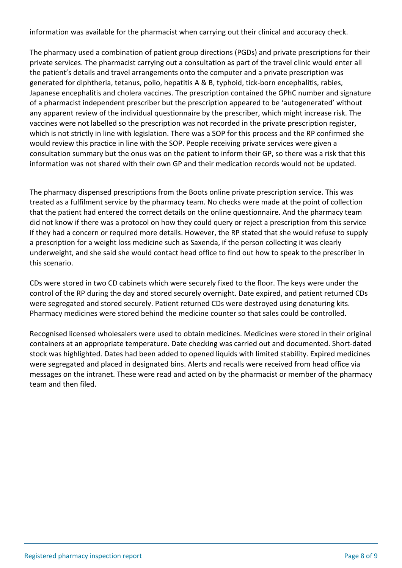information was available for the pharmacist when carrying out their clinical and accuracy check.

The pharmacy used a combination of patient group directions (PGDs) and private prescriptions for their private services. The pharmacist carrying out a consultation as part of the travel clinic would enter all the patient's details and travel arrangements onto the computer and a private prescription was generated for diphtheria, tetanus, polio, hepatitis A & B, typhoid, tick-born encephalitis, rabies, Japanese encephalitis and cholera vaccines. The prescription contained the GPhC number and signature of a pharmacist independent prescriber but the prescription appeared to be 'autogenerated' without any apparent review of the individual questionnaire by the prescriber, which might increase risk. The vaccines were not labelled so the prescription was not recorded in the private prescription register, which is not strictly in line with legislation. There was a SOP for this process and the RP confirmed she would review this practice in line with the SOP. People receiving private services were given a consultation summary but the onus was on the patient to inform their GP, so there was a risk that this information was not shared with their own GP and their medication records would not be updated.

The pharmacy dispensed prescriptions from the Boots online private prescription service. This was treated as a fulfilment service by the pharmacy team. No checks were made at the point of collection that the patient had entered the correct details on the online questionnaire. And the pharmacy team did not know if there was a protocol on how they could query or reject a prescription from this service if they had a concern or required more details. However, the RP stated that she would refuse to supply a prescription for a weight loss medicine such as Saxenda, if the person collecting it was clearly underweight, and she said she would contact head office to find out how to speak to the prescriber in this scenario.

CDs were stored in two CD cabinets which were securely fixed to the floor. The keys were under the control of the RP during the day and stored securely overnight. Date expired, and patient returned CDs were segregated and stored securely. Patient returned CDs were destroyed using denaturing kits. Pharmacy medicines were stored behind the medicine counter so that sales could be controlled.

Recognised licensed wholesalers were used to obtain medicines. Medicines were stored in their original containers at an appropriate temperature. Date checking was carried out and documented. Short-dated stock was highlighted. Dates had been added to opened liquids with limited stability. Expired medicines were segregated and placed in designated bins. Alerts and recalls were received from head office via messages on the intranet. These were read and acted on by the pharmacist or member of the pharmacy team and then filed.